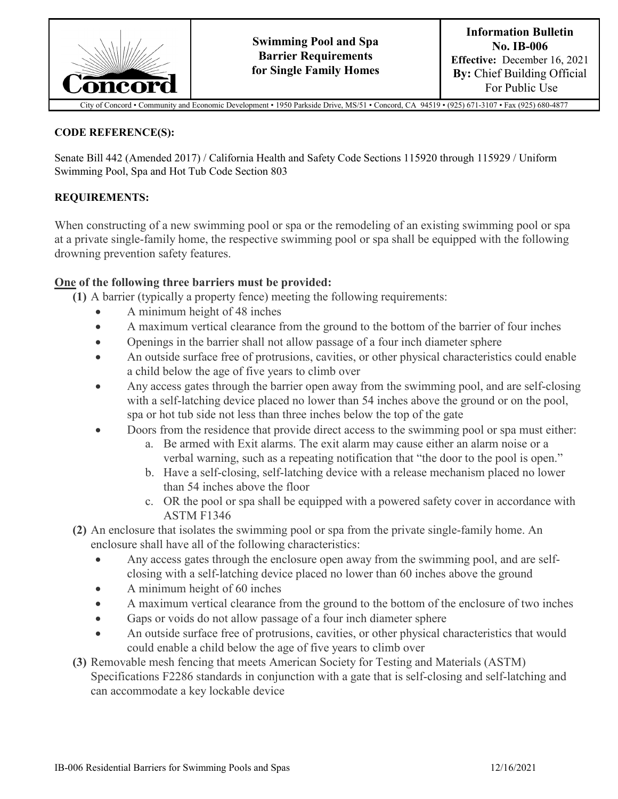

unity and Economic Development • 1950 Parkside Drive, MS/51 • Concord, CA 94519 • (925) 671-3107 • Fax (925) 680-4877

#### **CODE REFERENCE(S):**

Senate Bill 442 (Amended 2017) / California Health and Safety Code Sections 115920 through 115929 / Uniform Swimming Pool, Spa and Hot Tub Code Section 803

#### **REQUIREMENTS:**

When constructing of a new swimming pool or spa or the remodeling of an existing swimming pool or spa at a private single-family home, the respective swimming pool or spa shall be equipped with the following drowning prevention safety features.

### **One of the following three barriers must be provided:**

**(1)** A barrier (typically a property fence) meeting the following requirements:

- A minimum height of 48 inches
- A maximum vertical clearance from the ground to the bottom of the barrier of four inches
- Openings in the barrier shall not allow passage of a four inch diameter sphere
- An outside surface free of protrusions, cavities, or other physical characteristics could enable a child below the age of five years to climb over
- Any access gates through the barrier open away from the swimming pool, and are self-closing with a self-latching device placed no lower than 54 inches above the ground or on the pool, spa or hot tub side not less than three inches below the top of the gate
- Doors from the residence that provide direct access to the swimming pool or spa must either:
	- a. Be armed with Exit alarms. The exit alarm may cause either an alarm noise or a verbal warning, such as a repeating notification that "the door to the pool is open."
	- b. Have a self-closing, self-latching device with a release mechanism placed no lower than 54 inches above the floor
	- c. OR the pool or spa shall be equipped with a powered safety cover in accordance with ASTM F1346
- **(2)** An enclosure that isolates the swimming pool or spa from the private single-family home. An enclosure shall have all of the following characteristics:
	- Any access gates through the enclosure open away from the swimming pool, and are selfclosing with a self-latching device placed no lower than 60 inches above the ground
	- A minimum height of 60 inches
	- A maximum vertical clearance from the ground to the bottom of the enclosure of two inches
	- Gaps or voids do not allow passage of a four inch diameter sphere
	- An outside surface free of protrusions, cavities, or other physical characteristics that would could enable a child below the age of five years to climb over
- **(3)** Removable mesh fencing that meets American Society for Testing and Materials (ASTM) Specifications F2286 standards in conjunction with a gate that is self-closing and self-latching and can accommodate a key lockable device